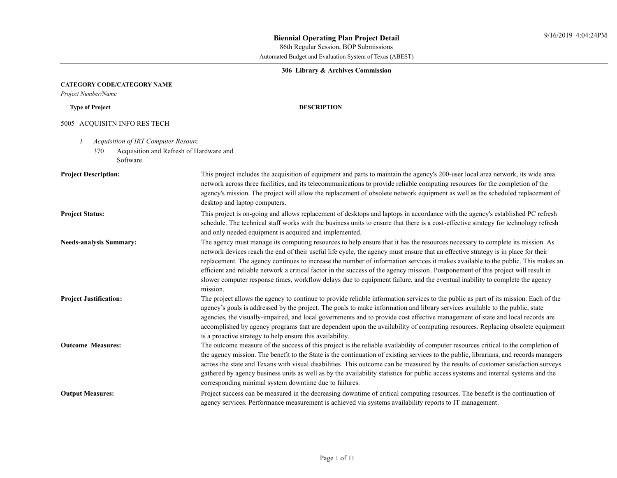86th Regular Session, BOP Submissions

Automated Budget and Evaluation System of Texas (ABEST)

# **306 Library & Archives Commission**

# **CATEGORY CODE/CATEGORY NAME**

*Project Number/Name*

**Type of Project DESCRIPTION**

# 5005 ACQUISITN INFO RES TECH

- *1 Acquisition of IRT Computer Resourc*
	- 370 Acquisition and Refresh of Hardware and Software

| <b>Project Description:</b>    | This project includes the acquisition of equipment and parts to maintain the agency's 200-user local area network, its wide area<br>network across three facilities, and its telecommunications to provide reliable computing resources for the completion of the<br>agency's mission. The project will allow the replacement of obsolete network equipment as well as the scheduled replacement of<br>desktop and laptop computers.                                                                                                                                                                                                                                                    |
|--------------------------------|-----------------------------------------------------------------------------------------------------------------------------------------------------------------------------------------------------------------------------------------------------------------------------------------------------------------------------------------------------------------------------------------------------------------------------------------------------------------------------------------------------------------------------------------------------------------------------------------------------------------------------------------------------------------------------------------|
| <b>Project Status:</b>         | This project is on-going and allows replacement of desktops and laptops in accordance with the agency's established PC refresh<br>schedule. The technical staff works with the business units to ensure that there is a cost-effective strategy for technology refresh<br>and only needed equipment is acquired and implemented.                                                                                                                                                                                                                                                                                                                                                        |
| <b>Needs-analysis Summary:</b> | The agency must manage its computing resources to help ensure that it has the resources necessary to complete its mission. As<br>network devices reach the end of their useful life cycle, the agency must ensure that an effective strategy is in place for their<br>replacement. The agency continues to increase the number of information services it makes available to the public. This makes an<br>efficient and reliable network a critical factor in the success of the agency mission. Postponement of this project will result in<br>slower computer response times, workflow delays due to equipment failure, and the eventual inability to complete the agency<br>mission. |
| <b>Project Justification:</b>  | The project allows the agency to continue to provide reliable information services to the public as part of its mission. Each of the<br>agency's goals is addressed by the project. The goals to make information and library services available to the public, state<br>agencies, the visually-impaired, and local governments and to provide cost effective management of state and local records are<br>accomplished by agency programs that are dependent upon the availability of computing resources. Replacing obsolete equipment<br>is a proactive strategy to help ensure this availability.                                                                                   |
| <b>Outcome Measures:</b>       | The outcome measure of the success of this project is the reliable availability of computer resources critical to the completion of<br>the agency mission. The benefit to the State is the continuation of existing services to the public, librarians, and records managers<br>across the state and Texans with visual disabilities. This outcome can be measured by the results of customer satisfaction surveys<br>gathered by agency business units as well as by the availability statistics for public access systems and internal systems and the<br>corresponding minimal system downtime due to failures.                                                                      |
| <b>Output Measures:</b>        | Project success can be measured in the decreasing downtime of critical computing resources. The benefit is the continuation of<br>agency services. Performance measurement is achieved via systems availability reports to IT management.                                                                                                                                                                                                                                                                                                                                                                                                                                               |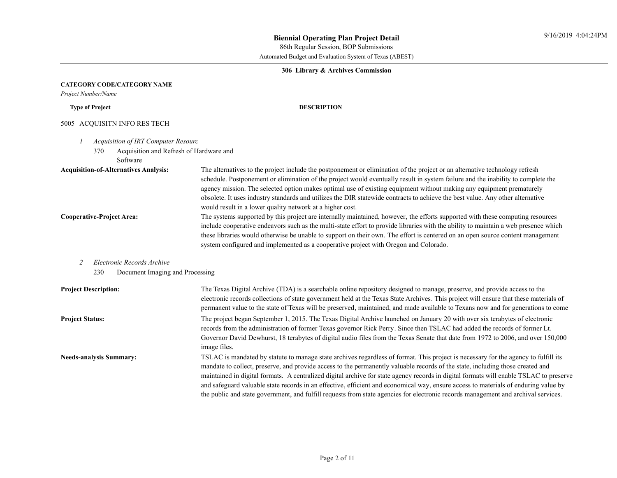#### **306 Library & Archives Commission**

#### **CATEGORY CODE/CATEGORY NAME**

*Project Number/Name*

**Type of Project DESCRIPTION**

#### 5005 ACQUISITN INFO RES TECH

- *1 Acquisition of IRT Computer Resourc*
	- 370 Acquisition and Refresh of Hardware and
		- Software

**Acquisition-of-Alternatives Analysis:** The alternatives to the project include the postponement or elimination of the project or an alternative technology refresh schedule. Postponement or elimination of the project would eventually result in system failure and the inability to complete the agency mission. The selected option makes optimal use of existing equipment without making any equipment prematurely obsolete. It uses industry standards and utilizes the DIR statewide contracts to achieve the best value. Any other alternative would result in a lower quality network at a higher cost.

**Cooperative-Project Area:** The systems supported by this project are internally maintained, however, the efforts supported with these computing resources include cooperative endeavors such as the multi-state effort to provide libraries with the ability to maintain a web presence which these libraries would otherwise be unable to support on their own. The effort is centered on an open source content management system configured and implemented as a cooperative project with Oregon and Colorado.

## *2 Electronic Records Archive*

230 Document Imaging and Processing

| <b>Project Description:</b>    | The Texas Digital Archive (TDA) is a searchable online repository designed to manage, preserve, and provide access to the<br>electronic records collections of state government held at the Texas State Archives. This project will ensure that these materials of<br>permanent value to the state of Texas will be preserved, maintained, and made available to Texans now and for generations to come                                                                                                                                                                                                                                                                                      |
|--------------------------------|----------------------------------------------------------------------------------------------------------------------------------------------------------------------------------------------------------------------------------------------------------------------------------------------------------------------------------------------------------------------------------------------------------------------------------------------------------------------------------------------------------------------------------------------------------------------------------------------------------------------------------------------------------------------------------------------|
| <b>Project Status:</b>         | The project began September 1, 2015. The Texas Digital Archive launched on January 20 with over six terabytes of electronic<br>records from the administration of former Texas governor Rick Perry. Since then TSLAC had added the records of former Lt.<br>Governor David Dewhurst, 18 terabytes of digital audio files from the Texas Senate that date from 1972 to 2006, and over 150,000<br>image files.                                                                                                                                                                                                                                                                                 |
| <b>Needs-analysis Summary:</b> | TSLAC is mandated by statute to manage state archives regardless of format. This project is necessary for the agency to fulfill its<br>mandate to collect, preserve, and provide access to the permanently valuable records of the state, including those created and<br>maintained in digital formats. A centralized digital archive for state agency records in digital formats will enable TSLAC to preserve<br>and safeguard valuable state records in an effective, efficient and economical way, ensure access to materials of enduring value by<br>the public and state government, and fulfill requests from state agencies for electronic records management and archival services. |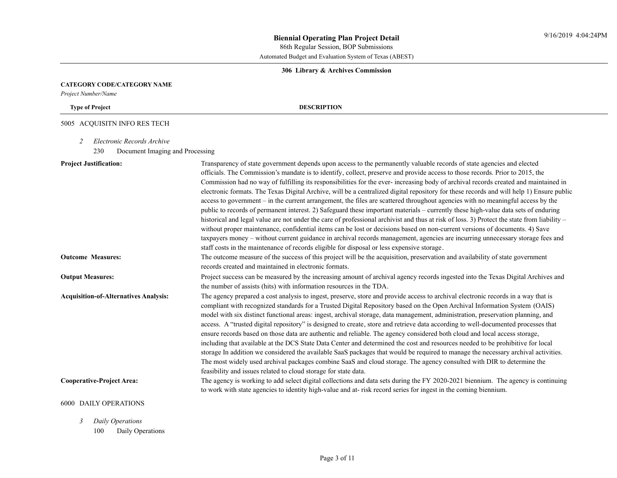### **306 Library & Archives Commission**

### **CATEGORY CODE/CATEGORY NAME**

*Project Number/Name*

#### **Type of Project DESCRIPTION**

# 5005 ACQUISITN INFO RES TECH

- *2 Electronic Records Archive*
	- 230 Document Imaging and Processing

| <b>Project Justification:</b>                    | Transparency of state government depends upon access to the permanently valuable records of state agencies and elected                                                                 |
|--------------------------------------------------|----------------------------------------------------------------------------------------------------------------------------------------------------------------------------------------|
|                                                  | officials. The Commission's mandate is to identify, collect, preserve and provide access to those records. Prior to 2015, the                                                          |
|                                                  | Commission had no way of fulfilling its responsibilities for the ever-increasing body of archival records created and maintained in                                                    |
|                                                  | electronic formats. The Texas Digital Archive, will be a centralized digital repository for these records and will help 1) Ensure public                                               |
|                                                  | access to government – in the current arrangement, the files are scattered throughout agencies with no meaningful access by the                                                        |
|                                                  | public to records of permanent interest. 2) Safeguard these important materials - currently these high-value data sets of enduring                                                     |
|                                                  | historical and legal value are not under the care of professional archivist and thus at risk of loss. 3) Protect the state from liability –                                            |
|                                                  | without proper maintenance, confidential items can be lost or decisions based on non-current versions of documents. 4) Save                                                            |
|                                                  | taxpayers money - without current guidance in archival records management, agencies are incurring unnecessary storage fees and                                                         |
|                                                  | staff costs in the maintenance of records eligible for disposal or less expensive storage.                                                                                             |
| <b>Outcome Measures:</b>                         | The outcome measure of the success of this project will be the acquisition, preservation and availability of state government<br>records created and maintained in electronic formats. |
| <b>Output Measures:</b>                          | Project success can be measured by the increasing amount of archival agency records ingested into the Texas Digital Archives and                                                       |
|                                                  | the number of assists (hits) with information resources in the TDA.                                                                                                                    |
| <b>Acquisition-of-Alternatives Analysis:</b>     | The agency prepared a cost analysis to ingest, preserve, store and provide access to archival electronic records in a way that is                                                      |
|                                                  | compliant with recognized standards for a Trusted Digital Repository based on the Open Archival Information System (OAIS)                                                              |
|                                                  | model with six distinct functional areas: ingest, archival storage, data management, administration, preservation planning, and                                                        |
|                                                  | access. A "trusted digital repository" is designed to create, store and retrieve data according to well-documented processes that                                                      |
|                                                  | ensure records based on those data are authentic and reliable. The agency considered both cloud and local access storage,                                                              |
|                                                  | including that available at the DCS State Data Center and determined the cost and resources needed to be prohibitive for local                                                         |
|                                                  | storage In addition we considered the available SaaS packages that would be required to manage the necessary archival activities.                                                      |
|                                                  | The most widely used archival packages combine SaaS and cloud storage. The agency consulted with DIR to determine the                                                                  |
|                                                  | feasibility and issues related to cloud storage for state data.                                                                                                                        |
| <b>Cooperative-Project Area:</b>                 | The agency is working to add select digital collections and data sets during the FY 2020-2021 biennium. The agency is continuing                                                       |
|                                                  | to work with state agencies to identity high-value and at-risk record series for ingest in the coming biennium.                                                                        |
| <b>6000 DAILY OPERATIONS</b>                     |                                                                                                                                                                                        |
| $2 \sum_{i=1}^{n} \sum_{i=1}^{n} \sum_{i=1}^{n}$ |                                                                                                                                                                                        |

*3 Daily Operations* 100 Daily Operations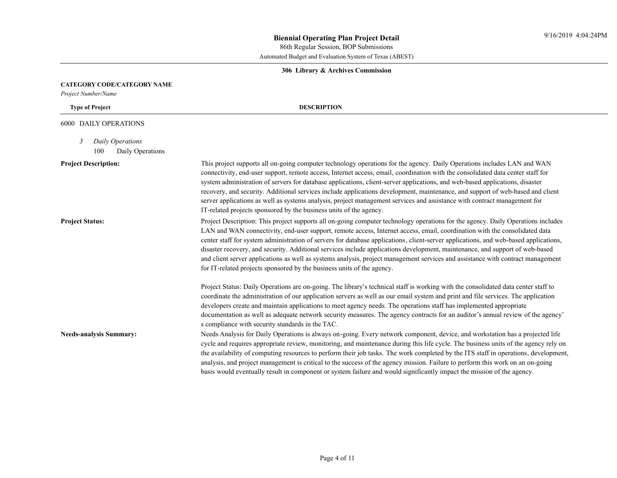#### **306 Library & Archives Commission**

#### **CATEGORY CODE/CATEGORY NAME**

*Project Number/Name*

### **Type of Project DESCRIPTION**

#### 6000 DAILY OPERATIONS

*3 Daily Operations*

100 Daily Operations

**Project Description:** This project supports all on-going computer technology operations for the agency. Daily Operations includes LAN and WAN connectivity, end-user support, remote access, Internet access, email, coordination with the consolidated data center staff for system administration of servers for database applications, client-server applications, and web-based applications, disaster recovery, and security. Additional services include applications development, maintenance, and support of web-based and client server applications as well as systems analysis, project management services and assistance with contract management for IT-related projects sponsored by the business units of the agency.

**Project Status:** Project Description: This project supports all on-going computer technology operations for the agency. Daily Operations includes LAN and WAN connectivity, end-user support, remote access, Internet access, email, coordination with the consolidated data center staff for system administration of servers for database applications, client-server applications, and web-based applications, disaster recovery, and security. Additional services include applications development, maintenance, and support of web-based and client server applications as well as systems analysis, project management services and assistance with contract management for IT-related projects sponsored by the business units of the agency.

> Project Status: Daily Operations are on-going. The library's technical staff is working with the consolidated data center staff to coordinate the administration of our application servers as well as our email system and print and file services. The application developers create and maintain applications to meet agency needs. The operations staff has implemented appropriate documentation as well as adequate network security measures. The agency contracts for an auditor's annual review of the agency' s compliance with security standards in the TAC.

**Needs-analysis Summary:** Needs Analysis for Daily Operations is always on-going. Every network component, device, and workstation has a projected life cycle and requires appropriate review, monitoring, and maintenance during this life cycle. The business units of the agency rely on the availability of computing resources to perform their job tasks. The work completed by the ITS staff in operations, development, analysis, and project management is critical to the success of the agency mission. Failure to perform this work on an on-going basis would eventually result in component or system failure and would significantly impact the mission of the agency.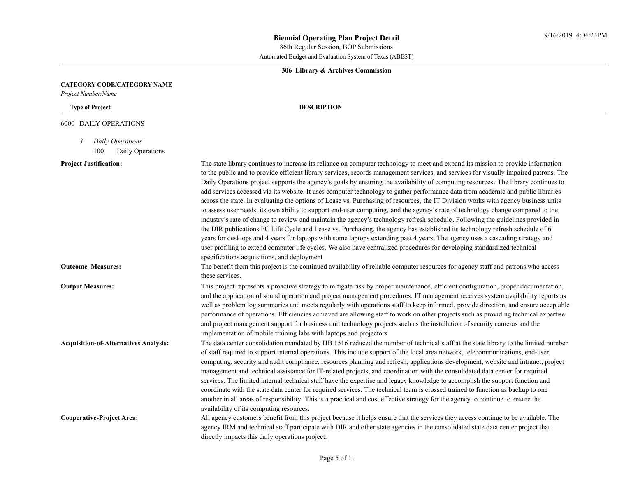# **306 Library & Archives Commission**

### **CATEGORY CODE/CATEGORY NAME**

*Project Number/Name*

# **Type of Project DESCRIPTION**

# 6000 DAILY OPERATIONS

*3 Daily Operations*

100 Daily Operations

| <b>Project Justification:</b>                | The state library continues to increase its reliance on computer technology to meet and expand its mission to provide information                                       |
|----------------------------------------------|-------------------------------------------------------------------------------------------------------------------------------------------------------------------------|
|                                              | to the public and to provide efficient library services, records management services, and services for visually impaired patrons. The                                   |
|                                              | Daily Operations project supports the agency's goals by ensuring the availability of computing resources. The library continues to                                      |
|                                              | add services accessed via its website. It uses computer technology to gather performance data from academic and public libraries                                        |
|                                              | across the state. In evaluating the options of Lease vs. Purchasing of resources, the IT Division works with agency business units                                      |
|                                              | to assess user needs, its own ability to support end-user computing, and the agency's rate of technology change compared to the                                         |
|                                              | industry's rate of change to review and maintain the agency's technology refresh schedule. Following the guidelines provided in                                         |
|                                              | the DIR publications PC Life Cycle and Lease vs. Purchasing, the agency has established its technology refresh schedule of 6                                            |
|                                              | years for desktops and 4 years for laptops with some laptops extending past 4 years. The agency uses a cascading strategy and                                           |
|                                              | user profiling to extend computer life cycles. We also have centralized procedures for developing standardized technical<br>specifications acquisitions, and deployment |
| <b>Outcome Measures:</b>                     | The benefit from this project is the continued availability of reliable computer resources for agency staff and patrons who access<br>these services.                   |
| <b>Output Measures:</b>                      | This project represents a proactive strategy to mitigate risk by proper maintenance, efficient configuration, proper documentation,                                     |
|                                              | and the application of sound operation and project management procedures. IT management receives system availability reports as                                         |
|                                              | well as problem log summaries and meets regularly with operations staff to keep informed, provide direction, and ensure acceptable                                      |
|                                              | performance of operations. Efficiencies achieved are allowing staff to work on other projects such as providing technical expertise                                     |
|                                              | and project management support for business unit technology projects such as the installation of security cameras and the                                               |
|                                              | implementation of mobile training labs with laptops and projectors                                                                                                      |
| <b>Acquisition-of-Alternatives Analysis:</b> | The data center consolidation mandated by HB 1516 reduced the number of technical staff at the state library to the limited number                                      |
|                                              | of staff required to support internal operations. This include support of the local area network, telecommunications, end-user                                          |
|                                              | computing, security and audit compliance, resources planning and refresh, applications development, website and intranet, project                                       |
|                                              | management and technical assistance for IT-related projects, and coordination with the consolidated data center for required                                            |
|                                              | services. The limited internal technical staff have the expertise and legacy knowledge to accomplish the support function and                                           |
|                                              | coordinate with the state data center for required services. The technical team is crossed trained to function as backup to one                                         |
|                                              | another in all areas of responsibility. This is a practical and cost effective strategy for the agency to continue to ensure the                                        |
|                                              | availability of its computing resources.                                                                                                                                |
| <b>Cooperative-Project Area:</b>             | All agency customers benefit from this project because it helps ensure that the services they access continue to be available. The                                      |
|                                              | agency IRM and technical staff participate with DIR and other state agencies in the consolidated state data center project that                                         |
|                                              | directly impacts this daily operations project.                                                                                                                         |
|                                              |                                                                                                                                                                         |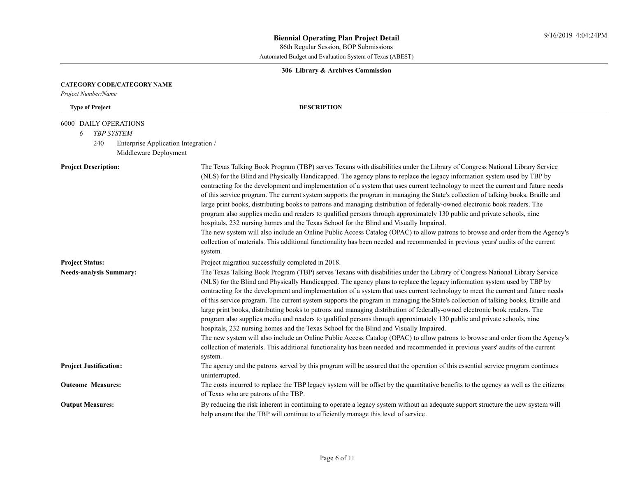# **306 Library & Archives Commission**

### **CATEGORY CODE/CATEGORY NAME**

*Project Number/Name*

# **Type of Project DESCRIPTION**

# 6000 DAILY OPERATIONS

*6 TBP SYSTEM*

240 Enterprise Application Integration / Middleware Deployment

| <b>Project Description:</b>    | The Texas Talking Book Program (TBP) serves Texans with disabilities under the Library of Congress National Library Service<br>(NLS) for the Blind and Physically Handicapped. The agency plans to replace the legacy information system used by TBP by<br>contracting for the development and implementation of a system that uses current technology to meet the current and future needs<br>of this service program. The current system supports the program in managing the State's collection of talking books, Braille and<br>large print books, distributing books to patrons and managing distribution of federally-owned electronic book readers. The<br>program also supplies media and readers to qualified persons through approximately 130 public and private schools, nine<br>hospitals, 232 nursing homes and the Texas School for the Blind and Visually Impaired.<br>The new system will also include an Online Public Access Catalog (OPAC) to allow patrons to browse and order from the Agency's<br>collection of materials. This additional functionality has been needed and recommended in previous years' audits of the current<br>system. |
|--------------------------------|---------------------------------------------------------------------------------------------------------------------------------------------------------------------------------------------------------------------------------------------------------------------------------------------------------------------------------------------------------------------------------------------------------------------------------------------------------------------------------------------------------------------------------------------------------------------------------------------------------------------------------------------------------------------------------------------------------------------------------------------------------------------------------------------------------------------------------------------------------------------------------------------------------------------------------------------------------------------------------------------------------------------------------------------------------------------------------------------------------------------------------------------------------------------|
| <b>Project Status:</b>         | Project migration successfully completed in 2018.                                                                                                                                                                                                                                                                                                                                                                                                                                                                                                                                                                                                                                                                                                                                                                                                                                                                                                                                                                                                                                                                                                                   |
| <b>Needs-analysis Summary:</b> | The Texas Talking Book Program (TBP) serves Texans with disabilities under the Library of Congress National Library Service<br>(NLS) for the Blind and Physically Handicapped. The agency plans to replace the legacy information system used by TBP by<br>contracting for the development and implementation of a system that uses current technology to meet the current and future needs<br>of this service program. The current system supports the program in managing the State's collection of talking books, Braille and<br>large print books, distributing books to patrons and managing distribution of federally-owned electronic book readers. The<br>program also supplies media and readers to qualified persons through approximately 130 public and private schools, nine<br>hospitals, 232 nursing homes and the Texas School for the Blind and Visually Impaired.<br>The new system will also include an Online Public Access Catalog (OPAC) to allow patrons to browse and order from the Agency's<br>collection of materials. This additional functionality has been needed and recommended in previous years' audits of the current<br>system. |
| <b>Project Justification:</b>  | The agency and the patrons served by this program will be assured that the operation of this essential service program continues<br>uninterrupted.                                                                                                                                                                                                                                                                                                                                                                                                                                                                                                                                                                                                                                                                                                                                                                                                                                                                                                                                                                                                                  |
| <b>Outcome Measures:</b>       | The costs incurred to replace the TBP legacy system will be offset by the quantitative benefits to the agency as well as the citizens<br>of Texas who are patrons of the TBP.                                                                                                                                                                                                                                                                                                                                                                                                                                                                                                                                                                                                                                                                                                                                                                                                                                                                                                                                                                                       |
| <b>Output Measures:</b>        | By reducing the risk inherent in continuing to operate a legacy system without an adequate support structure the new system will<br>help ensure that the TBP will continue to efficiently manage this level of service.                                                                                                                                                                                                                                                                                                                                                                                                                                                                                                                                                                                                                                                                                                                                                                                                                                                                                                                                             |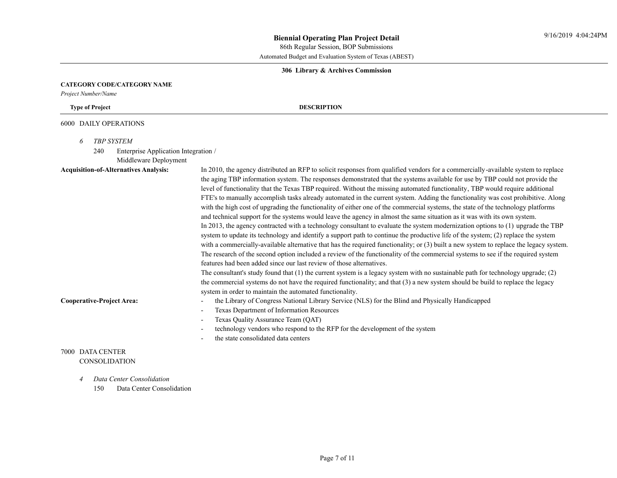#### **306 Library & Archives Commission**

#### **CATEGORY CODE/CATEGORY NAME**

*Project Number/Name*

**Type of Project DESCRIPTION**

#### 6000 DAILY OPERATIONS

*6 TBP SYSTEM*

240 Enterprise Application Integration /

Middleware Deployment

**Acquisition-of-Alternatives Analysis:** In 2010, the agency distributed an RFP to solicit responses from qualified vendors for a commercially-available system to replace the aging TBP information system. The responses demonstrated that the systems available for use by TBP could not provide the level of functionality that the Texas TBP required. Without the missing automated functionality, TBP would require additional FTE's to manually accomplish tasks already automated in the current system. Adding the functionality was cost prohibitive. Along with the high cost of upgrading the functionality of either one of the commercial systems, the state of the technology platforms and technical support for the systems would leave the agency in almost the same situation as it was with its own system. In 2013, the agency contracted with a technology consultant to evaluate the system modernization options to (1) upgrade the TBP system to update its technology and identify a support path to continue the productive life of the system; (2) replace the system with a commercially-available alternative that has the required functionality; or (3) built a new system to replace the legacy system. The research of the second option included a review of the functionality of the commercial systems to see if the required system features had been added since our last review of those alternatives. The consultant's study found that (1) the current system is a legacy system with no sustainable path for technology upgrade; (2)

the commercial systems do not have the required functionality; and that (3) a new system should be build to replace the legacy system in order to maintain the automated functionality.

- **Cooperative-Project Area:** the Library of Congress National Library Service (NLS) for the Blind and Physically Handicapped
	- Texas Department of Information Resources
	- Texas Quality Assurance Team (QAT)
	- technology vendors who respond to the RFP for the development of the system
	- the state consolidated data centers

# 7000 DATA CENTER CONSOLIDATION

*4 Data Center Consolidation*

150 Data Center Consolidation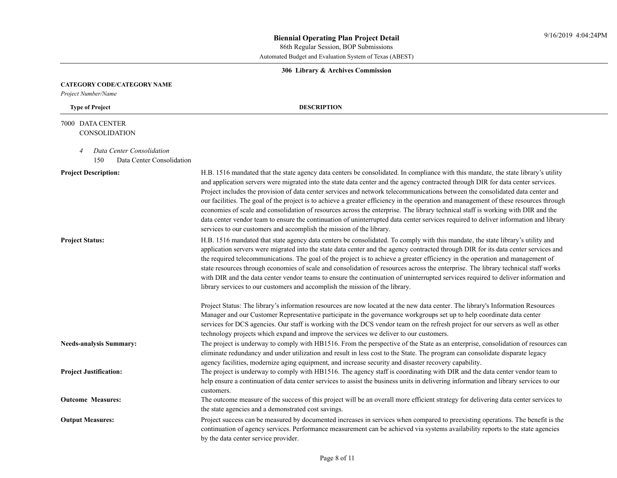# **306 Library & Archives Commission**

# **CATEGORY CODE/CATEGORY NAME**

*Project Number/Name*

# **Type of Project DESCRIPTION**

# 7000 DATA CENTER **CONSOLIDATION**

- *4 Data Center Consolidation*
	- 150 Data Center Consolidation

| <b>Project Description:</b>    | H.B. 1516 mandated that the state agency data centers be consolidated. In compliance with this mandate, the state library's utility<br>and application servers were migrated into the state data center and the agency contracted through DIR for data center services.<br>Project includes the provision of data center services and network telecommunications between the consolidated data center and<br>our facilities. The goal of the project is to achieve a greater efficiency in the operation and management of these resources through<br>economies of scale and consolidation of resources across the enterprise. The library technical staff is working with DIR and the<br>data center vendor team to ensure the continuation of uninterrupted data center services required to deliver information and library<br>services to our customers and accomplish the mission of the library. |
|--------------------------------|--------------------------------------------------------------------------------------------------------------------------------------------------------------------------------------------------------------------------------------------------------------------------------------------------------------------------------------------------------------------------------------------------------------------------------------------------------------------------------------------------------------------------------------------------------------------------------------------------------------------------------------------------------------------------------------------------------------------------------------------------------------------------------------------------------------------------------------------------------------------------------------------------------|
| <b>Project Status:</b>         | H.B. 1516 mandated that state agency data centers be consolidated. To comply with this mandate, the state library's utility and<br>application servers were migrated into the state data center and the agency contracted through DIR for its data center services and<br>the required telecommunications. The goal of the project is to achieve a greater efficiency in the operation and management of<br>state resources through economies of scale and consolidation of resources across the enterprise. The library technical staff works<br>with DIR and the data center vendor teams to ensure the continuation of uninterrupted services required to deliver information and<br>library services to our customers and accomplish the mission of the library.                                                                                                                                   |
|                                | Project Status: The library's information resources are now located at the new data center. The library's Information Resources<br>Manager and our Customer Representative participate in the governance workgroups set up to help coordinate data center<br>services for DCS agencies. Our staff is working with the DCS vendor team on the refresh project for our servers as well as other<br>technology projects which expand and improve the services we deliver to our customers.                                                                                                                                                                                                                                                                                                                                                                                                                |
| <b>Needs-analysis Summary:</b> | The project is underway to comply with HB1516. From the perspective of the State as an enterprise, consolidation of resources can<br>eliminate redundancy and under utilization and result in less cost to the State. The program can consolidate disparate legacy<br>agency facilities, modernize aging equipment, and increase security and disaster recovery capability.                                                                                                                                                                                                                                                                                                                                                                                                                                                                                                                            |
| <b>Project Justification:</b>  | The project is underway to comply with HB1516. The agency staff is coordinating with DIR and the data center vendor team to<br>help ensure a continuation of data center services to assist the business units in delivering information and library services to our<br>customers.                                                                                                                                                                                                                                                                                                                                                                                                                                                                                                                                                                                                                     |
| <b>Outcome Measures:</b>       | The outcome measure of the success of this project will be an overall more efficient strategy for delivering data center services to<br>the state agencies and a demonstrated cost savings.                                                                                                                                                                                                                                                                                                                                                                                                                                                                                                                                                                                                                                                                                                            |
| <b>Output Measures:</b>        | Project success can be measured by documented increases in services when compared to preexisting operations. The benefit is the<br>continuation of agency services. Performance measurement can be achieved via systems availability reports to the state agencies<br>by the data center service provider.                                                                                                                                                                                                                                                                                                                                                                                                                                                                                                                                                                                             |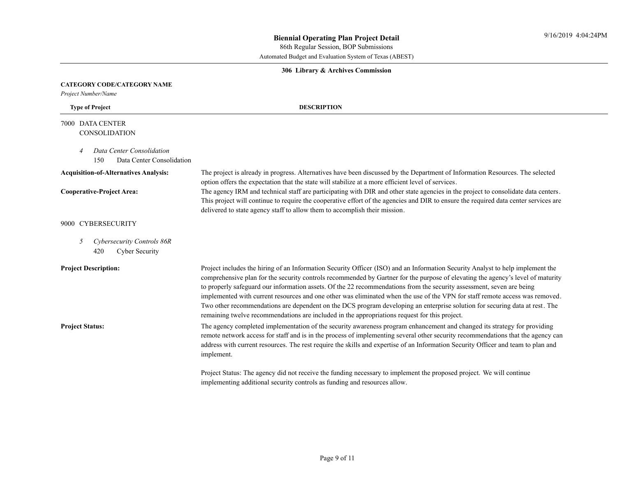86th Regular Session, BOP Submissions

Automated Budget and Evaluation System of Texas (ABEST)

#### **306 Library & Archives Commission**

option offers the expectation that the state will stabilize at a more efficient level of services.

delivered to state agency staff to allow them to accomplish their mission.

#### **CATEGORY CODE/CATEGORY NAME**

*Project Number/Name*

### **Type of Project DESCRIPTION**

# 7000 DATA CENTER **CONSOLIDATION**

- *4 Data Center Consolidation*
- 150 Data Center Consolidation

### **Acquisition-of-Alternatives Analysis:** The project is already in progress. Alternatives have been discussed by the Department of Information Resources. The selected

# Cooperative-Project Area:<br>This project will continue to require the cooperative effort of the agencies and DIR to ensure the required data center services are<br>This project will continue to require the cooperative effort of

### 9000 CYBERSECURITY

*5 Cybersecurity Controls 86R* 420 Cyber Security

**Project Description:** Project includes the hiring of an Information Security Officer (ISO) and an Information Security Analyst to help implement the comprehensive plan for the security controls recommended by Gartner for the purpose of elevating the agency's level of maturity to properly safeguard our information assets. Of the 22 recommendations from the security assessment, seven are being implemented with current resources and one other was eliminated when the use of the VPN for staff remote access was removed.<br>Two other recommendations are dependent on the DCS program developing an enterprise solution for remaining twelve recommendations are included in the appropriations request for this project.

**Project Status:** The agency completed implementation of the security awareness program enhancement and changed its strategy for providing remote network access for staff and is in the process of implementing several other security recommendations that the agency can address with current resources. The rest require the skills and expertise of an Information Security Officer and team to plan and implement.

> Project Status: The agency did not receive the funding necessary to implement the proposed project. We will continue implementing additional security controls as funding and resources allow.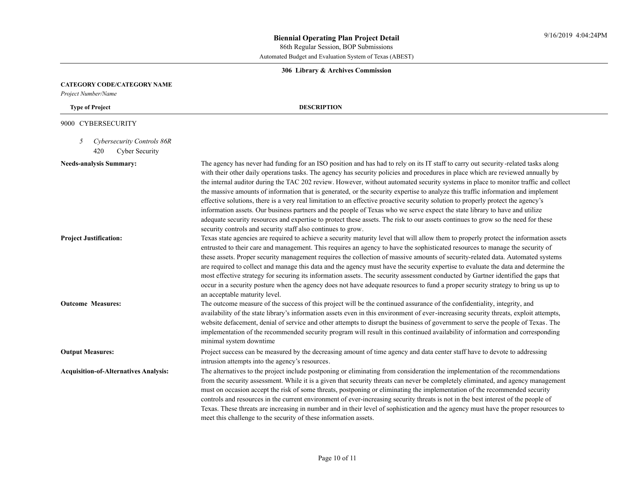#### **306 Library & Archives Commission**

#### **CATEGORY CODE/CATEGORY NAME**

*Project Number/Name*

#### **Type of Project DESCRIPTION**

#### 9000 CYBERSECURITY

- *5 Cybersecurity Controls 86R*
	- 420 Cyber Security

#### Needs-analysis Summary:

| The agency has never had funding for an ISO position and has had to rely on its IT staff to carry out security-related tasks along  |
|-------------------------------------------------------------------------------------------------------------------------------------|
| with their other daily operations tasks. The agency has security policies and procedures in place which are reviewed annually by    |
| the internal auditor during the TAC 202 review. However, without automated security systems in place to monitor traffic and collect |
| the massive amounts of information that is generated, or the security expertise to analyze this traffic information and implement   |
| effective solutions, there is a very real limitation to an effective proactive security solution to properly protect the agency's   |
| information assets. Our business partners and the people of Texas who we serve expect the state library to have and utilize         |
| adequate security resources and expertise to protect these assets. The risk to our assets continues to grow so the need for these   |
| security controls and security staff also continues to grow.                                                                        |

# **Project Justification:** Texas state agencies are required to achieve a security maturity level that will allow them to properly protect the information assets entrusted to their care and management. This requires an agency to have the sophisticated resources to manage the security of these assets. Proper security management requires the collection of massive amounts of security-related data. Automated systems are required to collect and manage this data and the agency must have the security expertise to evaluate the data and determine the most effective strategy for securing its information assets. The security assessment conducted by Gartner identified the gaps that occur in a security posture when the agency does not have adequate resources to fund a proper security strategy to bring us up to an acceptable maturity level.

# **Outcome Measures:** The outcome measure of the success of this project will be the continued assurance of the confidentiality, integrity, and availability of the state library's information assets even in this environment of ever-increasing security threats, exploit attempts, website defacement, denial of service and other attempts to disrupt the business of government to serve the people of Texas. The implementation of the recommended security program will result in this continued availability of information and corresponding minimal system downtime

### **Output Measures:** Project success can be measured by the decreasing amount of time agency and data center staff have to devote to addressing intrusion attempts into the agency's resources.

# **Acquisition-of-Alternatives Analysis:** The alternatives to the project include postponing or eliminating from consideration the implementation of the recommendations from the security assessment. While it is a given that security threats can never be completely eliminated, and agency management must on occasion accept the risk of some threats, postponing or eliminating the implementation of the recommended security controls and resources in the current environment of ever-increasing security threats is not in the best interest of the people of Texas. These threats are increasing in number and in their level of sophistication and the agency must have the proper resources to meet this challenge to the security of these information assets.